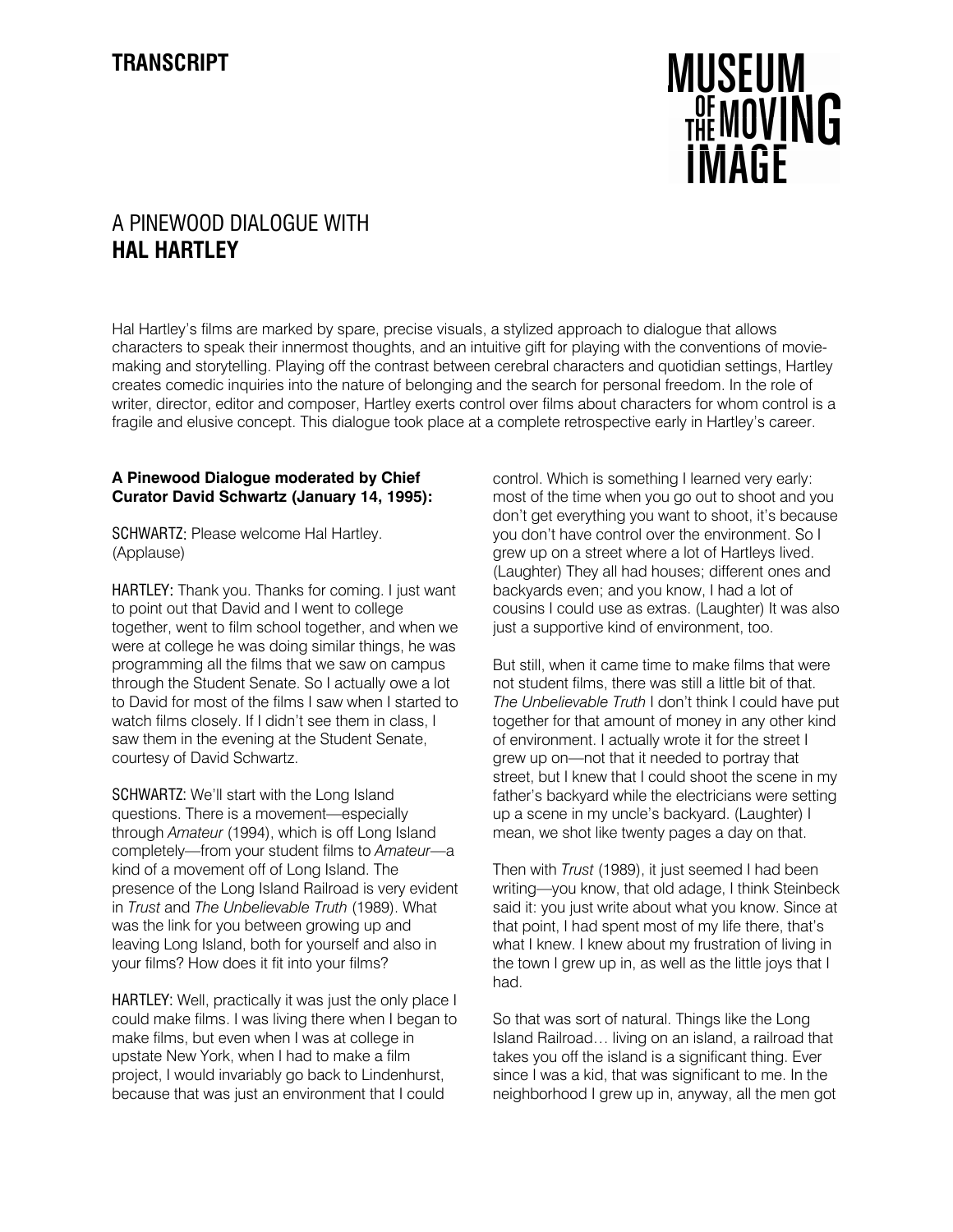## **MUSEUM** THE MOVING **IMAGF**

## A PINEWOOD DIALOGUE WITH **HAL HARTLEY**

Hal Hartley's films are marked by spare, precise visuals, a stylized approach to dialogue that allows characters to speak their innermost thoughts, and an intuitive gift for playing with the conventions of moviemaking and storytelling. Playing off the contrast between cerebral characters and quotidian settings, Hartley creates comedic inquiries into the nature of belonging and the search for personal freedom. In the role of writer, director, editor and composer, Hartley exerts control over films about characters for whom control is a fragile and elusive concept. This dialogue took place at a complete retrospective early in Hartley's career.

## **A Pinewood Dialogue moderated by Chief Curator David Schwartz (January 14, 1995):**

SCHWARTZ: Please welcome Hal Hartley. (Applause)

HARTLEY: Thank you. Thanks for coming. I just want to point out that David and I went to college together, went to film school together, and when we were at college he was doing similar things, he was programming all the films that we saw on campus through the Student Senate. So I actually owe a lot to David for most of the films I saw when I started to watch films closely. If I didn't see them in class, I saw them in the evening at the Student Senate, courtesy of David Schwartz.

SCHWARTZ: We'll start with the Long Island questions. There is a movement—especially through *Amateur* (1994), which is off Long Island completely—from your student films to *Amateur*—a kind of a movement off of Long Island. The presence of the Long Island Railroad is very evident in *Trust* and *The Unbelievable Truth* (1989). What was the link for you between growing up and leaving Long Island, both for yourself and also in your films? How does it fit into your films?

HARTLEY: Well, practically it was just the only place I could make films. I was living there when I began to make films, but even when I was at college in upstate New York, when I had to make a film project, I would invariably go back to Lindenhurst, because that was just an environment that I could

control. Which is something I learned very early: most of the time when you go out to shoot and you don't get everything you want to shoot, it's because you don't have control over the environment. So I grew up on a street where a lot of Hartleys lived. (Laughter) They all had houses; different ones and backyards even; and you know, I had a lot of cousins I could use as extras. (Laughter) It was also just a supportive kind of environment, too.

But still, when it came time to make films that were not student films, there was still a little bit of that. *The Unbelievable Truth* I don't think I could have put together for that amount of money in any other kind of environment. I actually wrote it for the street I grew up on—not that it needed to portray that street, but I knew that I could shoot the scene in my father's backyard while the electricians were setting up a scene in my uncle's backyard. (Laughter) I mean, we shot like twenty pages a day on that.

Then with *Trust* (1989), it just seemed I had been writing—you know, that old adage, I think Steinbeck said it: you just write about what you know. Since at that point, I had spent most of my life there, that's what I knew. I knew about my frustration of living in the town I grew up in, as well as the little joys that I had.

So that was sort of natural. Things like the Long Island Railroad… living on an island, a railroad that takes you off the island is a significant thing. Ever since I was a kid, that was significant to me. In the neighborhood I grew up in, anyway, all the men got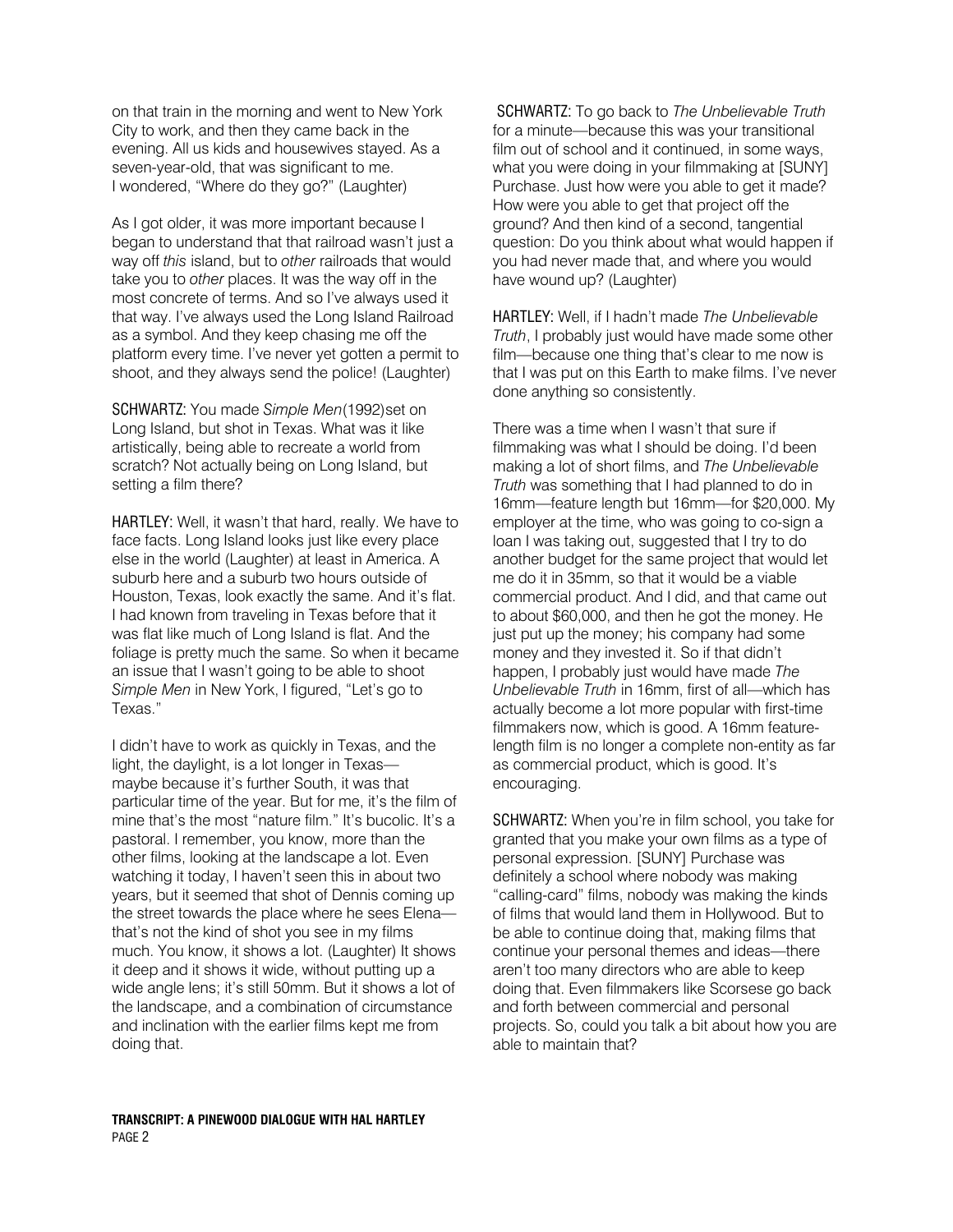on that train in the morning and went to New York City to work, and then they came back in the evening. All us kids and housewives stayed. As a seven-year-old, that was significant to me. I wondered, "Where do they go?" (Laughter)

As I got older, it was more important because I began to understand that that railroad wasn't just a way off *this* island, but to *other* railroads that would take you to *other* places. It was the way off in the most concrete of terms. And so I've always used it that way. I've always used the Long Island Railroad as a symbol. And they keep chasing me off the platform every time. I've never yet gotten a permit to shoot, and they always send the police! (Laughter)

SCHWARTZ: You made *Simple Men*(1992)set on Long Island, but shot in Texas. What was it like artistically, being able to recreate a world from scratch? Not actually being on Long Island, but setting a film there?

HARTLEY: Well, it wasn't that hard, really. We have to face facts. Long Island looks just like every place else in the world (Laughter) at least in America. A suburb here and a suburb two hours outside of Houston, Texas, look exactly the same. And it's flat. I had known from traveling in Texas before that it was flat like much of Long Island is flat. And the foliage is pretty much the same. So when it became an issue that I wasn't going to be able to shoot *Simple Men* in New York, I figured, "Let's go to Texas."

I didn't have to work as quickly in Texas, and the light, the daylight, is a lot longer in Texas maybe because it's further South, it was that particular time of the year. But for me, it's the film of mine that's the most "nature film." It's bucolic. It's a pastoral. I remember, you know, more than the other films, looking at the landscape a lot. Even watching it today, I haven't seen this in about two years, but it seemed that shot of Dennis coming up the street towards the place where he sees Elena that's not the kind of shot you see in my films much. You know, it shows a lot. (Laughter) It shows it deep and it shows it wide, without putting up a wide angle lens; it's still 50mm. But it shows a lot of the landscape, and a combination of circumstance and inclination with the earlier films kept me from doing that.

SCHWARTZ: To go back to *The Unbelievable Truth*  for a minute—because this was your transitional film out of school and it continued, in some ways, what you were doing in your filmmaking at [SUNY] Purchase. Just how were you able to get it made? How were you able to get that project off the ground? And then kind of a second, tangential question: Do you think about what would happen if you had never made that, and where you would have wound up? (Laughter)

HARTLEY: Well, if I hadn't made *The Unbelievable Truth*, I probably just would have made some other film—because one thing that's clear to me now is that I was put on this Earth to make films. I've never done anything so consistently.

There was a time when I wasn't that sure if filmmaking was what I should be doing. I'd been making a lot of short films, and *The Unbelievable Truth* was something that I had planned to do in 16mm—feature length but 16mm—for \$20,000. My employer at the time, who was going to co-sign a loan I was taking out, suggested that I try to do another budget for the same project that would let me do it in 35mm, so that it would be a viable commercial product. And I did, and that came out to about \$60,000, and then he got the money. He just put up the money; his company had some money and they invested it. So if that didn't happen, I probably just would have made *The Unbelievable Truth* in 16mm, first of all—which has actually become a lot more popular with first-time filmmakers now, which is good. A 16mm featurelength film is no longer a complete non-entity as far as commercial product, which is good. It's encouraging.

SCHWARTZ: When you're in film school, you take for granted that you make your own films as a type of personal expression. [SUNY] Purchase was definitely a school where nobody was making "calling-card" films, nobody was making the kinds of films that would land them in Hollywood. But to be able to continue doing that, making films that continue your personal themes and ideas—there aren't too many directors who are able to keep doing that. Even filmmakers like Scorsese go back and forth between commercial and personal projects. So, could you talk a bit about how you are able to maintain that?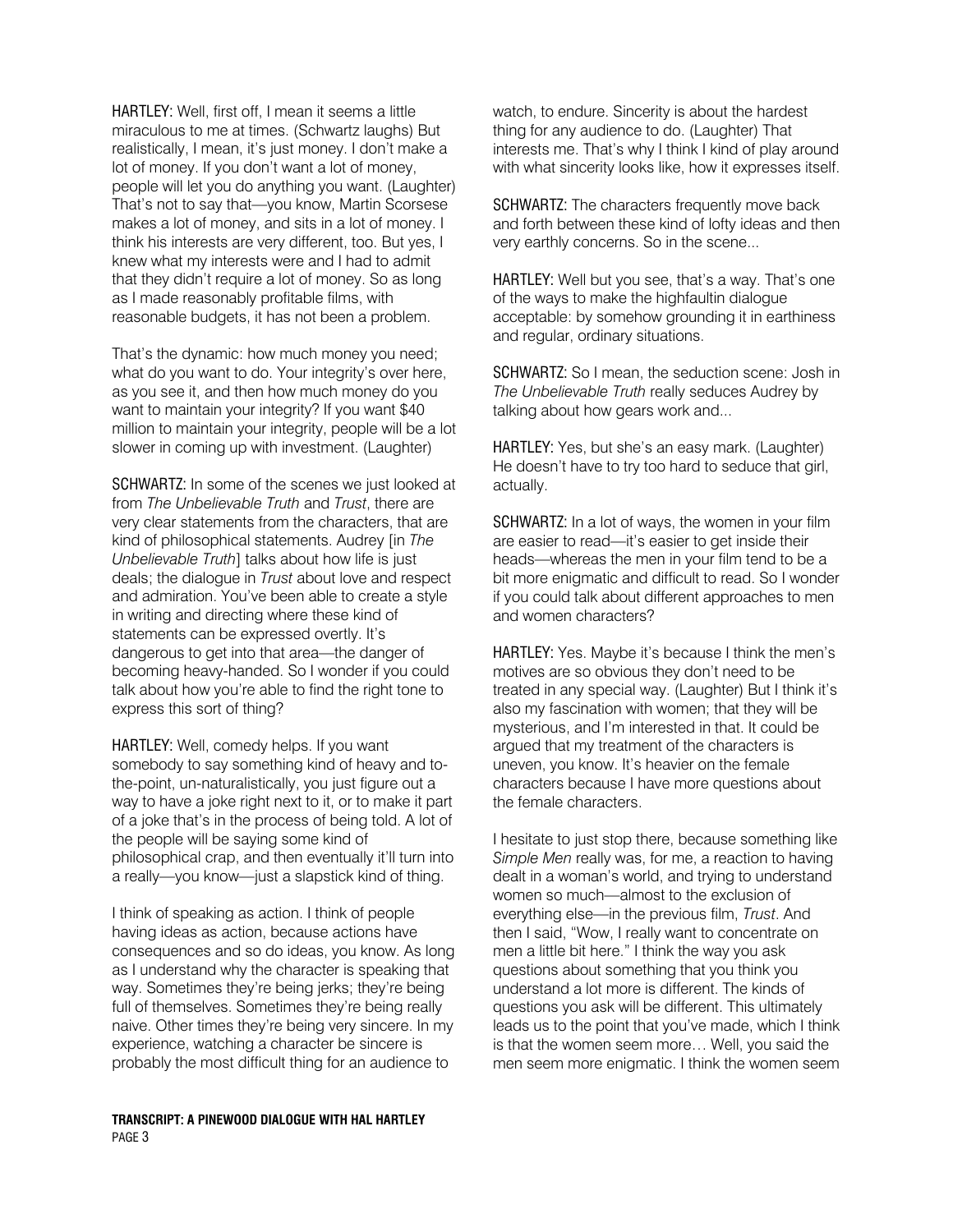HARTLEY: Well, first off, I mean it seems a little miraculous to me at times. (Schwartz laughs) But realistically, I mean, it's just money. I don't make a lot of money. If you don't want a lot of money, people will let you do anything you want. (Laughter) That's not to say that—you know, Martin Scorsese makes a lot of money, and sits in a lot of money. I think his interests are very different, too. But yes, I knew what my interests were and I had to admit that they didn't require a lot of money. So as long as I made reasonably profitable films, with reasonable budgets, it has not been a problem.

That's the dynamic: how much money you need; what do you want to do. Your integrity's over here, as you see it, and then how much money do you want to maintain your integrity? If you want \$40 million to maintain your integrity, people will be a lot slower in coming up with investment. (Laughter)

SCHWARTZ: In some of the scenes we just looked at from *The Unbelievable Truth* and *Trust*, there are very clear statements from the characters, that are kind of philosophical statements. Audrey [in *The Unbelievable Truth*] talks about how life is just deals; the dialogue in *Trust* about love and respect and admiration. You've been able to create a style in writing and directing where these kind of statements can be expressed overtly. It's dangerous to get into that area—the danger of becoming heavy-handed. So I wonder if you could talk about how you're able to find the right tone to express this sort of thing?

HARTLEY: Well, comedy helps. If you want somebody to say something kind of heavy and tothe-point, un-naturalistically, you just figure out a way to have a joke right next to it, or to make it part of a joke that's in the process of being told. A lot of the people will be saying some kind of philosophical crap, and then eventually it'll turn into a really—you know—just a slapstick kind of thing.

I think of speaking as action. I think of people having ideas as action, because actions have consequences and so do ideas, you know. As long as I understand why the character is speaking that way. Sometimes they're being jerks; they're being full of themselves. Sometimes they're being really naive. Other times they're being very sincere. In my experience, watching a character be sincere is probably the most difficult thing for an audience to

## **TRANSCRIPT: A PINEWOOD DIALOGUE WITH HAL HARTLEY**  PAGE 3

watch, to endure. Sincerity is about the hardest thing for any audience to do. (Laughter) That interests me. That's why I think I kind of play around with what sincerity looks like, how it expresses itself.

SCHWARTZ: The characters frequently move back and forth between these kind of lofty ideas and then very earthly concerns. So in the scene...

HARTLEY: Well but you see, that's a way. That's one of the ways to make the highfaultin dialogue acceptable: by somehow grounding it in earthiness and regular, ordinary situations.

SCHWARTZ: So I mean, the seduction scene: Josh in *The Unbelievable Truth* really seduces Audrey by talking about how gears work and...

HARTLEY: Yes, but she's an easy mark. (Laughter) He doesn't have to try too hard to seduce that girl, actually.

SCHWARTZ: In a lot of ways, the women in your film are easier to read—it's easier to get inside their heads—whereas the men in your film tend to be a bit more enigmatic and difficult to read. So I wonder if you could talk about different approaches to men and women characters?

HARTLEY: Yes. Maybe it's because I think the men's motives are so obvious they don't need to be treated in any special way. (Laughter) But I think it's also my fascination with women; that they will be mysterious, and I'm interested in that. It could be argued that my treatment of the characters is uneven, you know. It's heavier on the female characters because I have more questions about the female characters.

I hesitate to just stop there, because something like *Simple Men* really was, for me, a reaction to having dealt in a woman's world, and trying to understand women so much—almost to the exclusion of everything else—in the previous film, *Trust*. And then I said, "Wow, I really want to concentrate on men a little bit here." I think the way you ask questions about something that you think you understand a lot more is different. The kinds of questions you ask will be different. This ultimately leads us to the point that you've made, which I think is that the women seem more… Well, you said the men seem more enigmatic. I think the women seem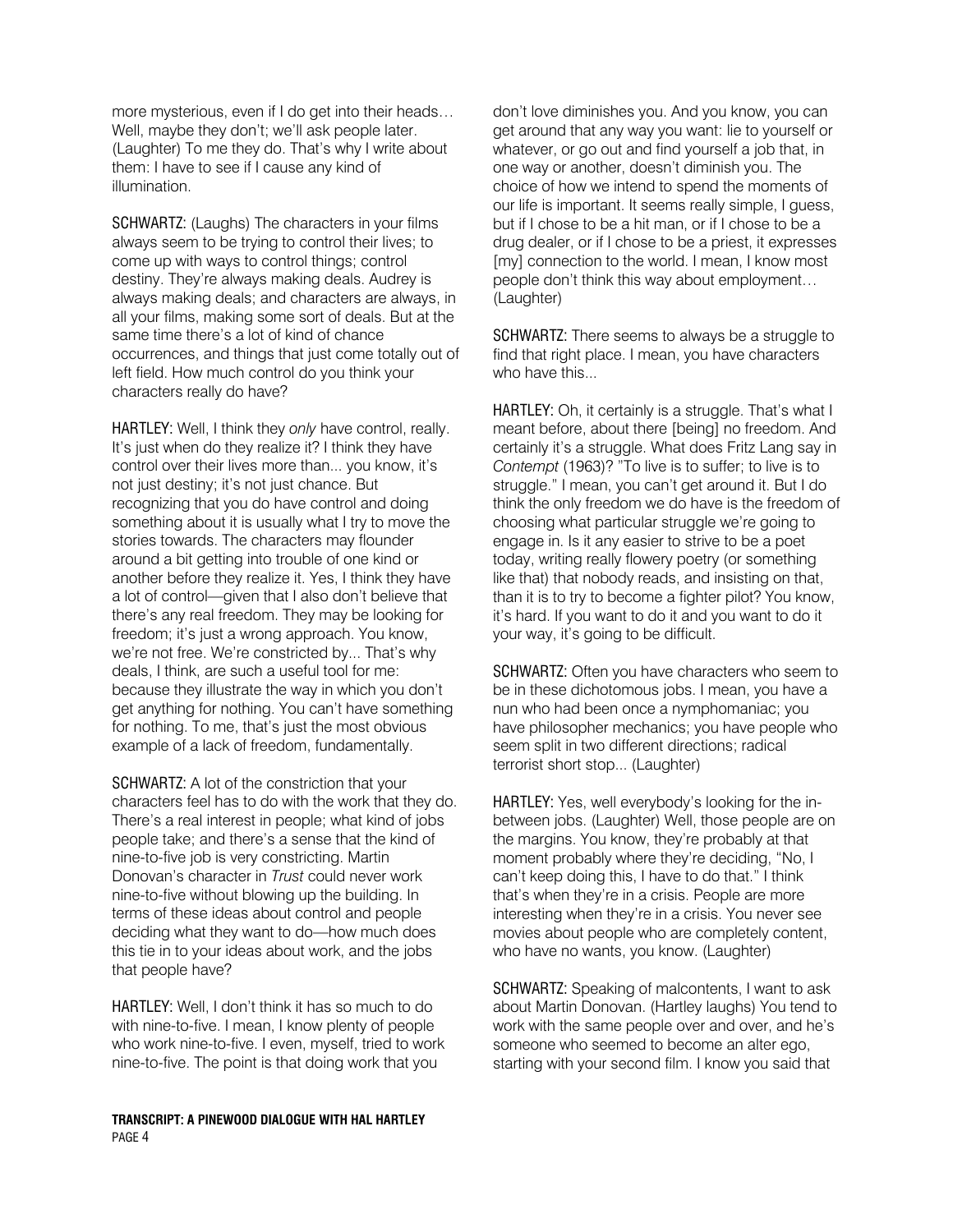more mysterious, even if I do get into their heads… Well, maybe they don't; we'll ask people later. (Laughter) To me they do. That's why I write about them: I have to see if I cause any kind of illumination.

SCHWARTZ: (Laughs) The characters in your films always seem to be trying to control their lives; to come up with ways to control things; control destiny. They're always making deals. Audrey is always making deals; and characters are always, in all your films, making some sort of deals. But at the same time there's a lot of kind of chance occurrences, and things that just come totally out of left field. How much control do you think your characters really do have?

HARTLEY: Well, I think they *only* have control, really. It's just when do they realize it? I think they have control over their lives more than... you know, it's not just destiny; it's not just chance. But recognizing that you do have control and doing something about it is usually what I try to move the stories towards. The characters may flounder around a bit getting into trouble of one kind or another before they realize it. Yes, I think they have a lot of control—given that I also don't believe that there's any real freedom. They may be looking for freedom; it's just a wrong approach. You know, we're not free. We're constricted by... That's why deals, I think, are such a useful tool for me: because they illustrate the way in which you don't get anything for nothing. You can't have something for nothing. To me, that's just the most obvious example of a lack of freedom, fundamentally.

SCHWARTZ: A lot of the constriction that your characters feel has to do with the work that they do. There's a real interest in people; what kind of jobs people take; and there's a sense that the kind of nine-to-five job is very constricting. Martin Donovan's character in *Trust* could never work nine-to-five without blowing up the building. In terms of these ideas about control and people deciding what they want to do—how much does this tie in to your ideas about work, and the jobs that people have?

HARTLEY: Well, I don't think it has so much to do with nine-to-five. I mean, I know plenty of people who work nine-to-five. I even, myself, tried to work nine-to-five. The point is that doing work that you

**TRANSCRIPT: A PINEWOOD DIALOGUE WITH HAL HARTLEY**  PAGE 4

don't love diminishes you. And you know, you can get around that any way you want: lie to yourself or whatever, or go out and find yourself a job that, in one way or another, doesn't diminish you. The choice of how we intend to spend the moments of our life is important. It seems really simple, I guess, but if I chose to be a hit man, or if I chose to be a drug dealer, or if I chose to be a priest, it expresses [my] connection to the world. I mean, I know most people don't think this way about employment… (Laughter)

SCHWARTZ: There seems to always be a struggle to find that right place. I mean, you have characters who have this...

HARTLEY: Oh, it certainly is a struggle. That's what I meant before, about there [being] no freedom. And certainly it's a struggle. What does Fritz Lang say in *Contempt* (1963)? "To live is to suffer; to live is to struggle." I mean, you can't get around it. But I do think the only freedom we do have is the freedom of choosing what particular struggle we're going to engage in. Is it any easier to strive to be a poet today, writing really flowery poetry (or something like that) that nobody reads, and insisting on that, than it is to try to become a fighter pilot? You know, it's hard. If you want to do it and you want to do it your way, it's going to be difficult.

SCHWARTZ: Often you have characters who seem to be in these dichotomous jobs. I mean, you have a nun who had been once a nymphomaniac; you have philosopher mechanics; you have people who seem split in two different directions; radical terrorist short stop... (Laughter)

HARTLEY: Yes, well everybody's looking for the inbetween jobs. (Laughter) Well, those people are on the margins. You know, they're probably at that moment probably where they're deciding, "No, I can't keep doing this, I have to do that." I think that's when they're in a crisis. People are more interesting when they're in a crisis. You never see movies about people who are completely content, who have no wants, you know. (Laughter)

SCHWARTZ: Speaking of malcontents, I want to ask about Martin Donovan. (Hartley laughs) You tend to work with the same people over and over, and he's someone who seemed to become an alter ego, starting with your second film. I know you said that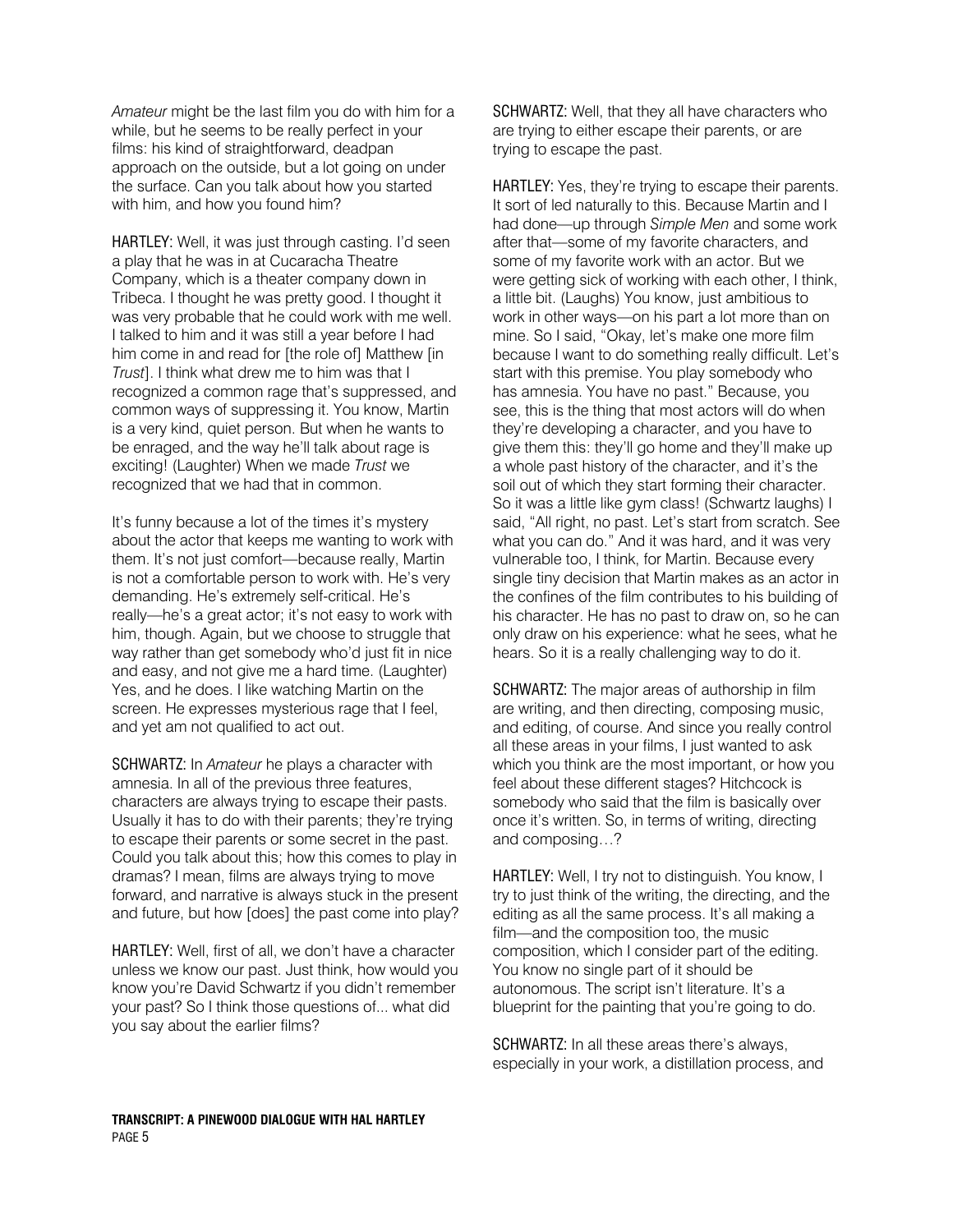*Amateur* might be the last film you do with him for a while, but he seems to be really perfect in your films: his kind of straightforward, deadpan approach on the outside, but a lot going on under the surface. Can you talk about how you started with him, and how you found him?

HARTLEY: Well, it was just through casting. I'd seen a play that he was in at Cucaracha Theatre Company, which is a theater company down in Tribeca. I thought he was pretty good. I thought it was very probable that he could work with me well. I talked to him and it was still a year before I had him come in and read for [the role of] Matthew [in *Trust*]. I think what drew me to him was that I recognized a common rage that's suppressed, and common ways of suppressing it. You know, Martin is a very kind, quiet person. But when he wants to be enraged, and the way he'll talk about rage is exciting! (Laughter) When we made *Trust* we recognized that we had that in common.

It's funny because a lot of the times it's mystery about the actor that keeps me wanting to work with them. It's not just comfort—because really, Martin is not a comfortable person to work with. He's very demanding. He's extremely self-critical. He's really—he's a great actor; it's not easy to work with him, though. Again, but we choose to struggle that way rather than get somebody who'd just fit in nice and easy, and not give me a hard time. (Laughter) Yes, and he does. I like watching Martin on the screen. He expresses mysterious rage that I feel, and yet am not qualified to act out.

SCHWARTZ: In *Amateur* he plays a character with amnesia. In all of the previous three features, characters are always trying to escape their pasts. Usually it has to do with their parents; they're trying to escape their parents or some secret in the past. Could you talk about this; how this comes to play in dramas? I mean, films are always trying to move forward, and narrative is always stuck in the present and future, but how [does] the past come into play?

HARTLEY: Well, first of all, we don't have a character unless we know our past. Just think, how would you know you're David Schwartz if you didn't remember your past? So I think those questions of... what did you say about the earlier films?

SCHWARTZ: Well, that they all have characters who are trying to either escape their parents, or are trying to escape the past.

HARTLEY: Yes, they're trying to escape their parents. It sort of led naturally to this. Because Martin and I had done—up through *Simple Men* and some work after that—some of my favorite characters, and some of my favorite work with an actor. But we were getting sick of working with each other, I think, a little bit. (Laughs) You know, just ambitious to work in other ways—on his part a lot more than on mine. So I said, "Okay, let's make one more film because I want to do something really difficult. Let's start with this premise. You play somebody who has amnesia. You have no past." Because, you see, this is the thing that most actors will do when they're developing a character, and you have to give them this: they'll go home and they'll make up a whole past history of the character, and it's the soil out of which they start forming their character. So it was a little like gym class! (Schwartz laughs) I said, "All right, no past. Let's start from scratch. See what you can do." And it was hard, and it was very vulnerable too, I think, for Martin. Because every single tiny decision that Martin makes as an actor in the confines of the film contributes to his building of his character. He has no past to draw on, so he can only draw on his experience: what he sees, what he hears. So it is a really challenging way to do it.

SCHWARTZ: The major areas of authorship in film are writing, and then directing, composing music, and editing, of course. And since you really control all these areas in your films, I just wanted to ask which you think are the most important, or how you feel about these different stages? Hitchcock is somebody who said that the film is basically over once it's written. So, in terms of writing, directing and composing…?

HARTLEY: Well, I try not to distinguish. You know, I try to just think of the writing, the directing, and the editing as all the same process. It's all making a film—and the composition too, the music composition, which I consider part of the editing. You know no single part of it should be autonomous. The script isn't literature. It's a blueprint for the painting that you're going to do.

SCHWARTZ: In all these areas there's always, especially in your work, a distillation process, and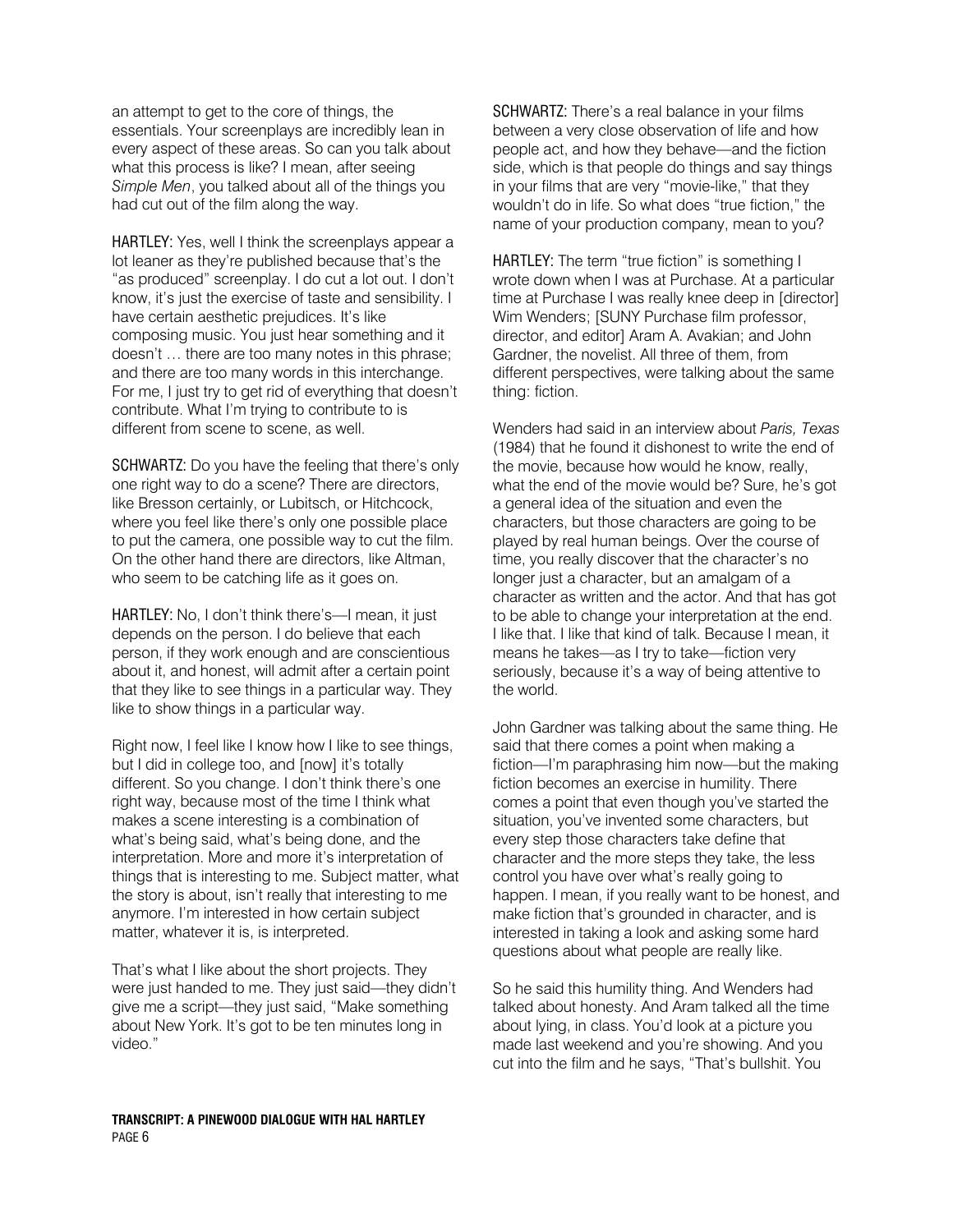an attempt to get to the core of things, the essentials. Your screenplays are incredibly lean in every aspect of these areas. So can you talk about what this process is like? I mean, after seeing *Simple Men*, you talked about all of the things you had cut out of the film along the way.

HARTLEY: Yes, well I think the screenplays appear a lot leaner as they're published because that's the "as produced" screenplay. I do cut a lot out. I don't know, it's just the exercise of taste and sensibility. I have certain aesthetic prejudices. It's like composing music. You just hear something and it doesn't … there are too many notes in this phrase; and there are too many words in this interchange. For me, I just try to get rid of everything that doesn't contribute. What I'm trying to contribute to is different from scene to scene, as well.

SCHWARTZ: Do you have the feeling that there's only one right way to do a scene? There are directors, like Bresson certainly, or Lubitsch, or Hitchcock, where you feel like there's only one possible place to put the camera, one possible way to cut the film. On the other hand there are directors, like Altman, who seem to be catching life as it goes on.

HARTLEY: No, I don't think there's—I mean, it just depends on the person. I do believe that each person, if they work enough and are conscientious about it, and honest, will admit after a certain point that they like to see things in a particular way. They like to show things in a particular way.

Right now, I feel like I know how I like to see things, but I did in college too, and [now] it's totally different. So you change. I don't think there's one right way, because most of the time I think what makes a scene interesting is a combination of what's being said, what's being done, and the interpretation. More and more it's interpretation of things that is interesting to me. Subject matter, what the story is about, isn't really that interesting to me anymore. I'm interested in how certain subject matter, whatever it is, is interpreted.

That's what I like about the short projects. They were just handed to me. They just said—they didn't give me a script—they just said, "Make something about New York. It's got to be ten minutes long in video."

SCHWARTZ: There's a real balance in your films between a very close observation of life and how people act, and how they behave—and the fiction side, which is that people do things and say things in your films that are very "movie-like," that they wouldn't do in life. So what does "true fiction," the name of your production company, mean to you?

HARTLEY: The term "true fiction" is something I wrote down when I was at Purchase. At a particular time at Purchase I was really knee deep in [director] Wim Wenders; [SUNY Purchase film professor, director, and editor] Aram A. Avakian; and John Gardner, the novelist. All three of them, from different perspectives, were talking about the same thing: fiction.

Wenders had said in an interview about *Paris, Texas* (1984) that he found it dishonest to write the end of the movie, because how would he know, really, what the end of the movie would be? Sure, he's got a general idea of the situation and even the characters, but those characters are going to be played by real human beings. Over the course of time, you really discover that the character's no longer just a character, but an amalgam of a character as written and the actor. And that has got to be able to change your interpretation at the end. I like that. I like that kind of talk. Because I mean, it means he takes—as I try to take—fiction very seriously, because it's a way of being attentive to the world.

John Gardner was talking about the same thing. He said that there comes a point when making a fiction—I'm paraphrasing him now—but the making fiction becomes an exercise in humility. There comes a point that even though you've started the situation, you've invented some characters, but every step those characters take define that character and the more steps they take, the less control you have over what's really going to happen. I mean, if you really want to be honest, and make fiction that's grounded in character, and is interested in taking a look and asking some hard questions about what people are really like.

So he said this humility thing. And Wenders had talked about honesty. And Aram talked all the time about lying, in class. You'd look at a picture you made last weekend and you're showing. And you cut into the film and he says, "That's bullshit. You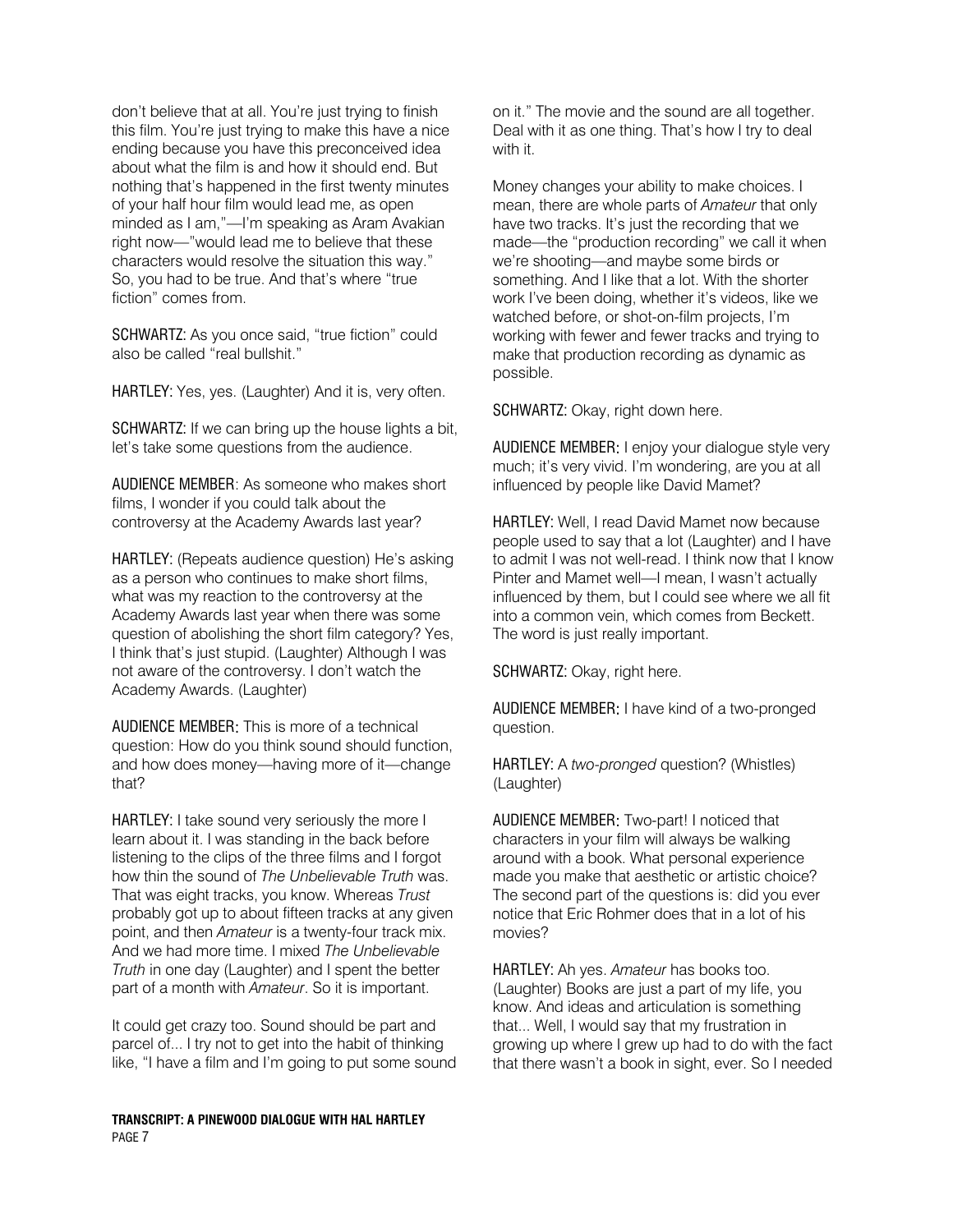don't believe that at all. You're just trying to finish this film. You're just trying to make this have a nice ending because you have this preconceived idea about what the film is and how it should end. But nothing that's happened in the first twenty minutes of your half hour film would lead me, as open minded as I am,"—I'm speaking as Aram Avakian right now—"would lead me to believe that these characters would resolve the situation this way." So, you had to be true. And that's where "true fiction" comes from.

SCHWARTZ: As you once said, "true fiction" could also be called "real bullshit."

HARTLEY: Yes, yes. (Laughter) And it is, very often.

SCHWARTZ: If we can bring up the house lights a bit, let's take some questions from the audience.

AUDIENCE MEMBER: As someone who makes short films, I wonder if you could talk about the controversy at the Academy Awards last year?

HARTLEY: (Repeats audience question) He's asking as a person who continues to make short films, what was my reaction to the controversy at the Academy Awards last year when there was some question of abolishing the short film category? Yes, I think that's just stupid. (Laughter) Although I was not aware of the controversy. I don't watch the Academy Awards. (Laughter)

AUDIENCE MEMBER: This is more of a technical question: How do you think sound should function, and how does money—having more of it—change that?

HARTLEY: I take sound very seriously the more I learn about it. I was standing in the back before listening to the clips of the three films and I forgot how thin the sound of *The Unbelievable Truth* was. That was eight tracks, you know. Whereas *Trust* probably got up to about fifteen tracks at any given point, and then *Amateur* is a twenty-four track mix. And we had more time. I mixed *The Unbelievable Truth* in one day (Laughter) and I spent the better part of a month with *Amateur*. So it is important.

It could get crazy too. Sound should be part and parcel of... I try not to get into the habit of thinking like, "I have a film and I'm going to put some sound

**TRANSCRIPT: A PINEWOOD DIALOGUE WITH HAL HARTLEY**  PAGE 7

on it." The movie and the sound are all together. Deal with it as one thing. That's how I try to deal with it.

Money changes your ability to make choices. I mean, there are whole parts of *Amateur* that only have two tracks. It's just the recording that we made—the "production recording" we call it when we're shooting—and maybe some birds or something. And I like that a lot. With the shorter work I've been doing, whether it's videos, like we watched before, or shot-on-film projects, I'm working with fewer and fewer tracks and trying to make that production recording as dynamic as possible.

SCHWARTZ: Okay, right down here.

AUDIENCE MEMBER: I enjoy your dialogue style very much; it's very vivid. I'm wondering, are you at all influenced by people like David Mamet?

HARTLEY: Well, I read David Mamet now because people used to say that a lot (Laughter) and I have to admit I was not well-read. I think now that I know Pinter and Mamet well—I mean, I wasn't actually influenced by them, but I could see where we all fit into a common vein, which comes from Beckett. The word is just really important.

SCHWARTZ: Okay, right here.

AUDIENCE MEMBER: I have kind of a two-pronged question.

HARTLEY: A *two-pronged* question? (Whistles) (Laughter)

AUDIENCE MEMBER: Two-part! I noticed that characters in your film will always be walking around with a book. What personal experience made you make that aesthetic or artistic choice? The second part of the questions is: did you ever notice that Eric Rohmer does that in a lot of his movies?

HARTLEY: Ah yes. *Amateur* has books too. (Laughter) Books are just a part of my life, you know. And ideas and articulation is something that... Well, I would say that my frustration in growing up where I grew up had to do with the fact that there wasn't a book in sight, ever. So I needed